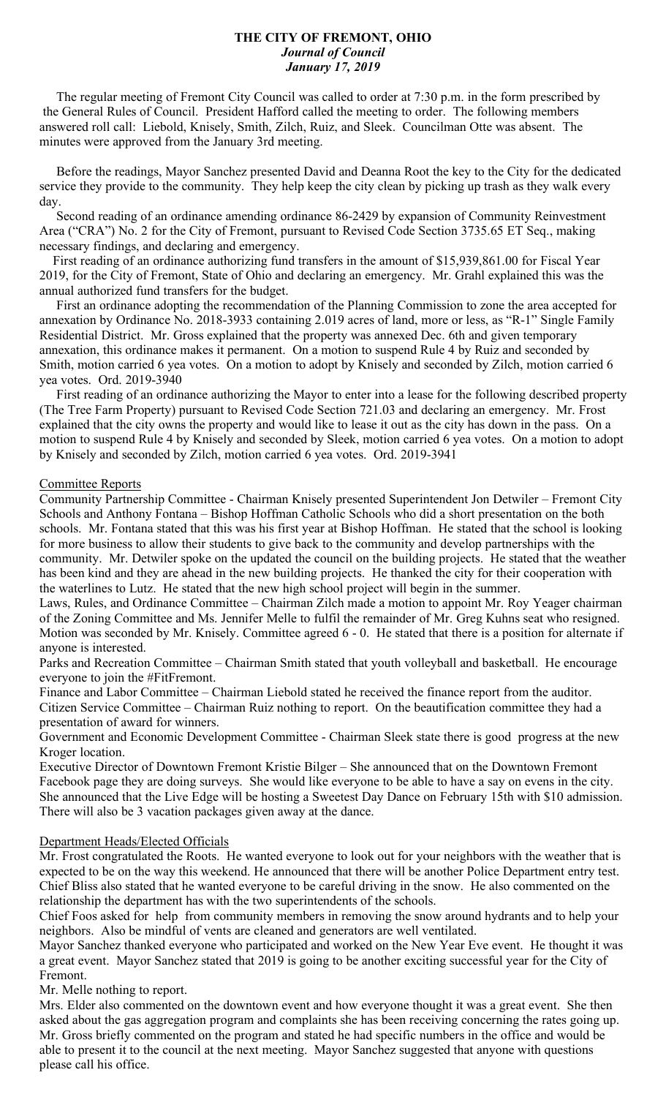### **THE CITY OF FREMONT, OHIO** *Journal of Council January 17, 2019*

 The regular meeting of Fremont City Council was called to order at 7:30 p.m. in the form prescribed by the General Rules of Council. President Hafford called the meeting to order. The following members answered roll call: Liebold, Knisely, Smith, Zilch, Ruiz, and Sleek. Councilman Otte was absent. The minutes were approved from the January 3rd meeting.

 Before the readings, Mayor Sanchez presented David and Deanna Root the key to the City for the dedicated service they provide to the community. They help keep the city clean by picking up trash as they walk every day.

 Second reading of an ordinance amending ordinance 86-2429 by expansion of Community Reinvestment Area ("CRA") No. 2 for the City of Fremont, pursuant to Revised Code Section 3735.65 ET Seq., making necessary findings, and declaring and emergency.

 First reading of an ordinance authorizing fund transfers in the amount of \$15,939,861.00 for Fiscal Year 2019, for the City of Fremont, State of Ohio and declaring an emergency. Mr. Grahl explained this was the annual authorized fund transfers for the budget.

 First an ordinance adopting the recommendation of the Planning Commission to zone the area accepted for annexation by Ordinance No. 2018-3933 containing 2.019 acres of land, more or less, as "R-1" Single Family Residential District. Mr. Gross explained that the property was annexed Dec. 6th and given temporary annexation, this ordinance makes it permanent. On a motion to suspend Rule 4 by Ruiz and seconded by Smith, motion carried 6 yea votes. On a motion to adopt by Knisely and seconded by Zilch, motion carried 6 yea votes. Ord. 2019-3940

 First reading of an ordinance authorizing the Mayor to enter into a lease for the following described property (The Tree Farm Property) pursuant to Revised Code Section 721.03 and declaring an emergency. Mr. Frost explained that the city owns the property and would like to lease it out as the city has down in the pass. On a motion to suspend Rule 4 by Knisely and seconded by Sleek, motion carried 6 yea votes. On a motion to adopt by Knisely and seconded by Zilch, motion carried 6 yea votes. Ord. 2019-3941

# Committee Reports

Community Partnership Committee - Chairman Knisely presented Superintendent Jon Detwiler – Fremont City Schools and Anthony Fontana – Bishop Hoffman Catholic Schools who did a short presentation on the both schools. Mr. Fontana stated that this was his first year at Bishop Hoffman. He stated that the school is looking for more business to allow their students to give back to the community and develop partnerships with the community. Mr. Detwiler spoke on the updated the council on the building projects. He stated that the weather has been kind and they are ahead in the new building projects. He thanked the city for their cooperation with the waterlines to Lutz. He stated that the new high school project will begin in the summer.

Laws, Rules, and Ordinance Committee – Chairman Zilch made a motion to appoint Mr. Roy Yeager chairman of the Zoning Committee and Ms. Jennifer Melle to fulfil the remainder of Mr. Greg Kuhns seat who resigned. Motion was seconded by Mr. Knisely. Committee agreed 6 - 0. He stated that there is a position for alternate if anyone is interested.

Parks and Recreation Committee – Chairman Smith stated that youth volleyball and basketball. He encourage everyone to join the #FitFremont.

Finance and Labor Committee – Chairman Liebold stated he received the finance report from the auditor. Citizen Service Committee – Chairman Ruiz nothing to report. On the beautification committee they had a presentation of award for winners.

Government and Economic Development Committee - Chairman Sleek state there is good progress at the new Kroger location.

Executive Director of Downtown Fremont Kristie Bilger – She announced that on the Downtown Fremont Facebook page they are doing surveys. She would like everyone to be able to have a say on evens in the city. She announced that the Live Edge will be hosting a Sweetest Day Dance on February 15th with \$10 admission. There will also be 3 vacation packages given away at the dance.

### Department Heads/Elected Officials

Mr. Frost congratulated the Roots. He wanted everyone to look out for your neighbors with the weather that is expected to be on the way this weekend. He announced that there will be another Police Department entry test. Chief Bliss also stated that he wanted everyone to be careful driving in the snow. He also commented on the relationship the department has with the two superintendents of the schools.

Chief Foos asked for help from community members in removing the snow around hydrants and to help your neighbors. Also be mindful of vents are cleaned and generators are well ventilated.

Mayor Sanchez thanked everyone who participated and worked on the New Year Eve event. He thought it was a great event. Mayor Sanchez stated that 2019 is going to be another exciting successful year for the City of Fremont.

Mr. Melle nothing to report.

Mrs. Elder also commented on the downtown event and how everyone thought it was a great event. She then asked about the gas aggregation program and complaints she has been receiving concerning the rates going up. Mr. Gross briefly commented on the program and stated he had specific numbers in the office and would be able to present it to the council at the next meeting. Mayor Sanchez suggested that anyone with questions please call his office.